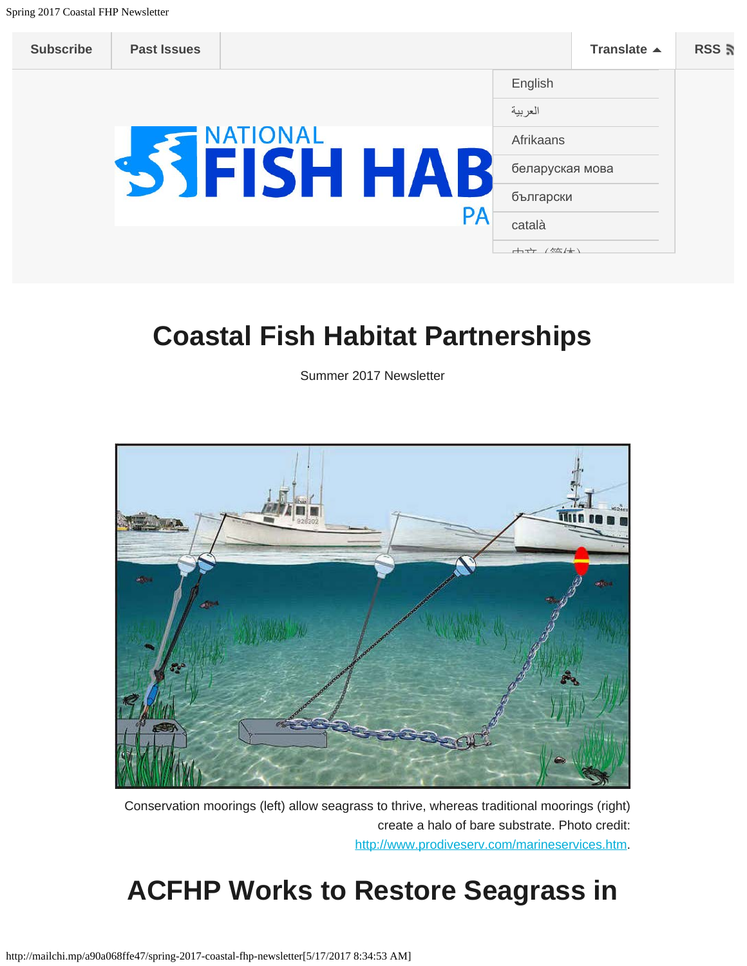| <b>Subscribe</b> | <b>Past Issues</b> |             |     |    |                 | Translate $\triangle$ | RSS <b>ត</b> |
|------------------|--------------------|-------------|-----|----|-----------------|-----------------------|--------------|
|                  |                    |             |     |    | English         |                       |              |
|                  |                    |             |     |    | العربية         |                       |              |
|                  |                    | <b>NAL</b>  |     |    | Afrikaans       |                       |              |
|                  |                    | <b>ISHT</b> | HAI |    | беларуская мова |                       |              |
|                  |                    |             |     |    | български       |                       |              |
|                  |                    |             |     | PA | català          |                       |              |
|                  |                    |             |     |    | 十七 /位上          |                       |              |

### **Coastal Fish Habitat Partnerships**

Summer 2017 Newsletter



Conservation moorings (left) allow seagrass to thrive, whereas traditional moorings (right) create a halo of bare substrate. Photo credit: <http://www.prodiveserv.com/marineservices.htm>.

## **ACFHP Works to Restore Seagrass in**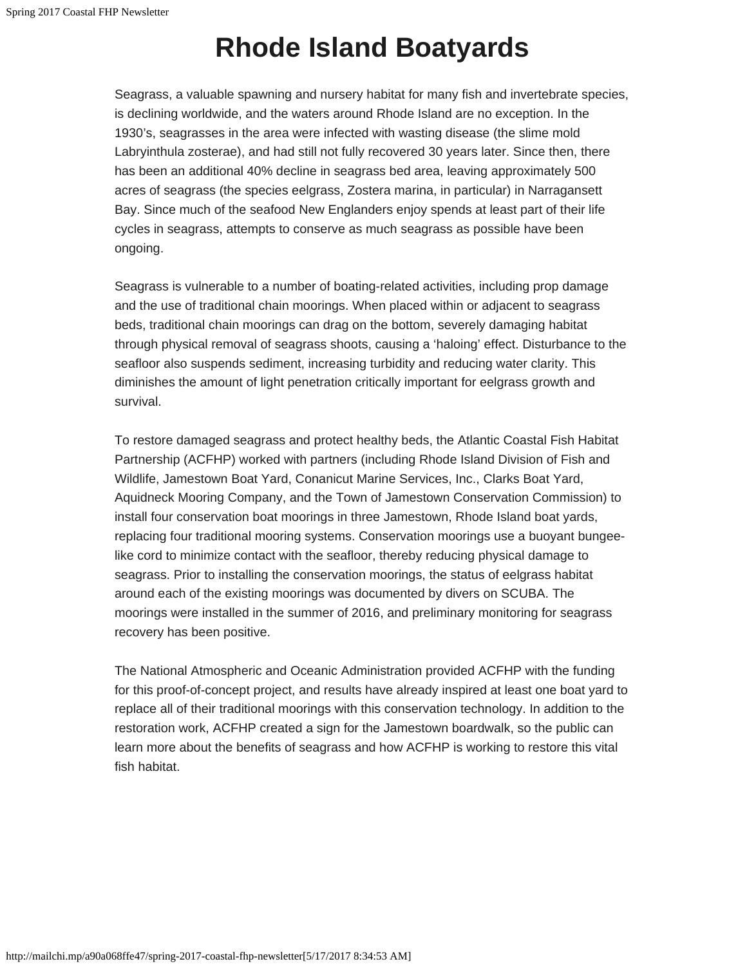# **Rhode Island Boatyards**

Seagrass, a valuable spawning and nursery habitat for many fish and invertebrate species, is declining worldwide, and the waters around Rhode Island are no exception. In the 1930's, seagrasses in the area were infected with wasting disease (the slime mold Labryinthula zosterae), and had still not fully recovered 30 years later. Since then, there has been an additional 40% decline in seagrass bed area, leaving approximately 500 acres of seagrass (the species eelgrass, Zostera marina, in particular) in Narragansett Bay. Since much of the seafood New Englanders enjoy spends at least part of their life cycles in seagrass, attempts to conserve as much seagrass as possible have been ongoing.

Seagrass is vulnerable to a number of boating-related activities, including prop damage and the use of traditional chain moorings. When placed within or adjacent to seagrass beds, traditional chain moorings can drag on the bottom, severely damaging habitat through physical removal of seagrass shoots, causing a 'haloing' effect. Disturbance to the seafloor also suspends sediment, increasing turbidity and reducing water clarity. This diminishes the amount of light penetration critically important for eelgrass growth and survival.

To restore damaged seagrass and protect healthy beds, the Atlantic Coastal Fish Habitat Partnership (ACFHP) worked with partners (including Rhode Island Division of Fish and Wildlife, Jamestown Boat Yard, Conanicut Marine Services, Inc., Clarks Boat Yard, Aquidneck Mooring Company, and the Town of Jamestown Conservation Commission) to install four conservation boat moorings in three Jamestown, Rhode Island boat yards, replacing four traditional mooring systems. Conservation moorings use a buoyant bungeelike cord to minimize contact with the seafloor, thereby reducing physical damage to seagrass. Prior to installing the conservation moorings, the status of eelgrass habitat around each of the existing moorings was documented by divers on SCUBA. The moorings were installed in the summer of 2016, and preliminary monitoring for seagrass recovery has been positive.

The National Atmospheric and Oceanic Administration provided ACFHP with the funding for this proof-of-concept project, and results have already inspired at least one boat yard to replace all of their traditional moorings with this conservation technology. In addition to the restoration work, ACFHP created a sign for the Jamestown boardwalk, so the public can learn more about the benefits of seagrass and how ACFHP is working to restore this vital fish habitat.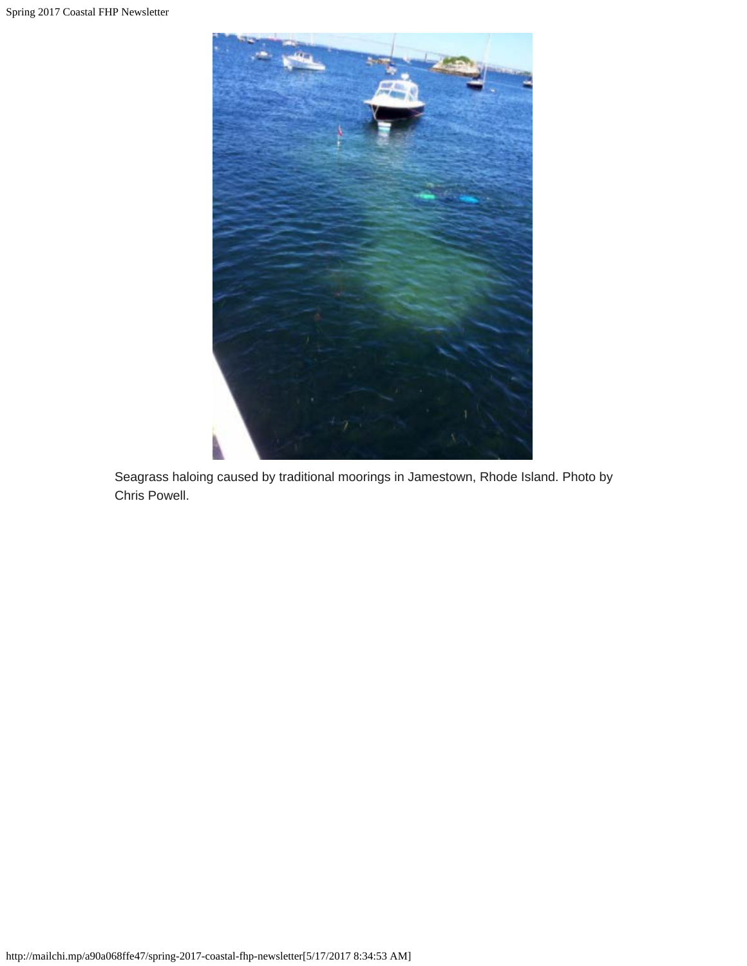

Seagrass haloing caused by traditional moorings in Jamestown, Rhode Island. Photo by Chris Powell.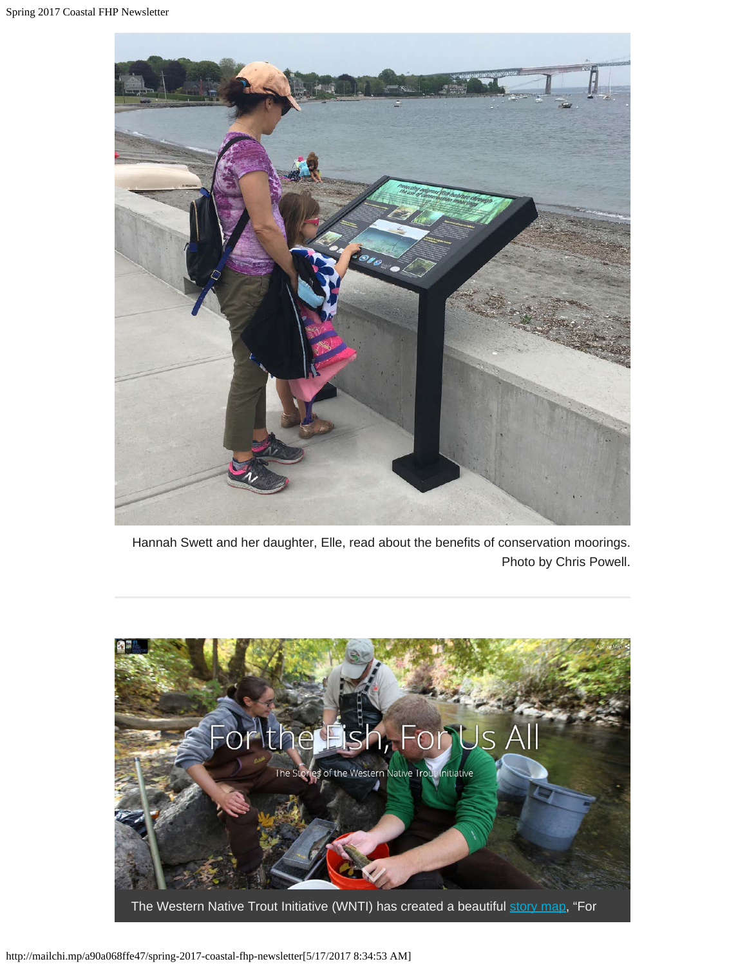

Hannah Swett and her daughter, Elle, read about the benefits of conservation moorings. Photo by Chris Powell.

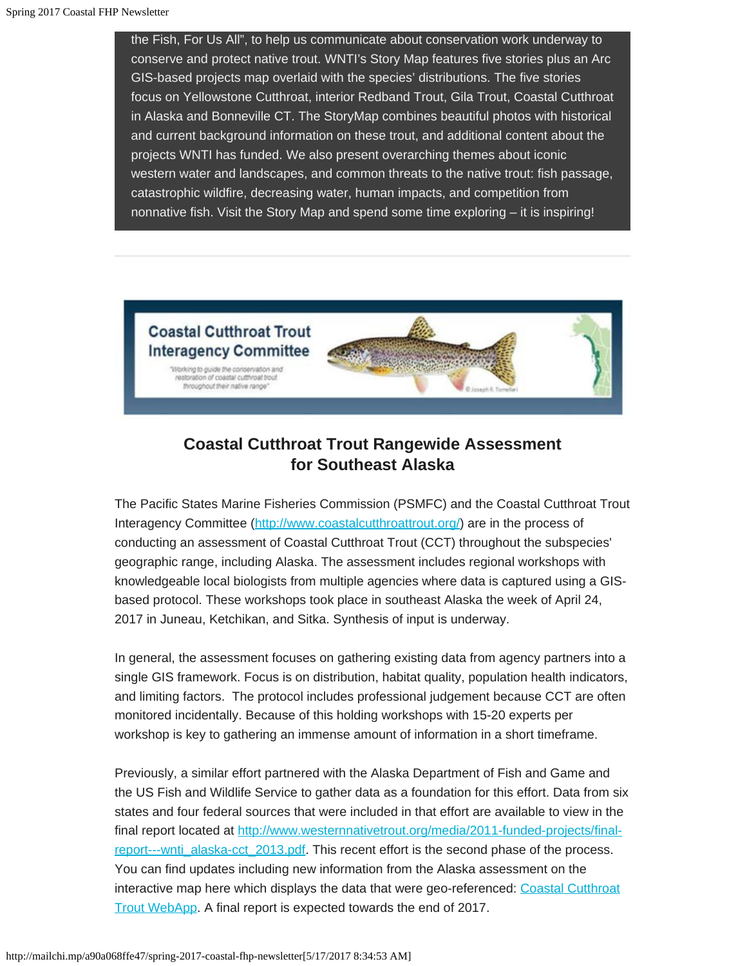the Fish, For Us All", to help us communicate about conservation work underway to conserve and protect native trout. WNTI's Story Map features five stories plus an Arc GIS-based projects map overlaid with the species' distributions. The five stories focus on Yellowstone Cutthroat, interior Redband Trout, Gila Trout, Coastal Cutthroat in Alaska and Bonneville CT. The StoryMap combines beautiful photos with historical and current background information on these trout, and additional content about the projects WNTI has funded. We also present overarching themes about iconic western water and landscapes, and common threats to the native trout: fish passage, catastrophic wildfire, decreasing water, human impacts, and competition from nonnative fish. Visit the Story Map and spend some time exploring – it is inspiring!



### **Coastal Cutthroat Trout Rangewide Assessment for Southeast Alaska**

The Pacific States Marine Fisheries Commission (PSMFC) and the Coastal Cutthroat Trout Interagency Committee (<http://www.coastalcutthroattrout.org/>) are in the process of conducting an assessment of Coastal Cutthroat Trout (CCT) throughout the subspecies' geographic range, including Alaska. The assessment includes regional workshops with knowledgeable local biologists from multiple agencies where data is captured using a GISbased protocol. These workshops took place in southeast Alaska the week of April 24, 2017 in Juneau, Ketchikan, and Sitka. Synthesis of input is underway.

In general, the assessment focuses on gathering existing data from agency partners into a single GIS framework. Focus is on distribution, habitat quality, population health indicators, and limiting factors. The protocol includes professional judgement because CCT are often monitored incidentally. Because of this holding workshops with 15-20 experts per workshop is key to gathering an immense amount of information in a short timeframe.

Previously, a similar effort partnered with the Alaska Department of Fish and Game and the US Fish and Wildlife Service to gather data as a foundation for this effort. Data from six states and four federal sources that were included in that effort are available to view in the final report located at [http://www.westernnativetrout.org/media/2011-funded-projects/final](http://www.westernnativetrout.org/media/2011-funded-projects/final-report---wnti_alaska-cct_2013.pdf)[report---wnti\\_alaska-cct\\_2013.pdf](http://www.westernnativetrout.org/media/2011-funded-projects/final-report---wnti_alaska-cct_2013.pdf). This recent effort is the second phase of the process. You can find updates including new information from the Alaska assessment on the interactive map here which displays the data that were geo-referenced: [Coastal Cutthroat](http://psmfc.maps.arcgis.com/apps/webappviewer/index.html?id=ef32788f7aa546568efe5356e94db8ae) [Trout WebApp.](http://psmfc.maps.arcgis.com/apps/webappviewer/index.html?id=ef32788f7aa546568efe5356e94db8ae) A final report is expected towards the end of 2017.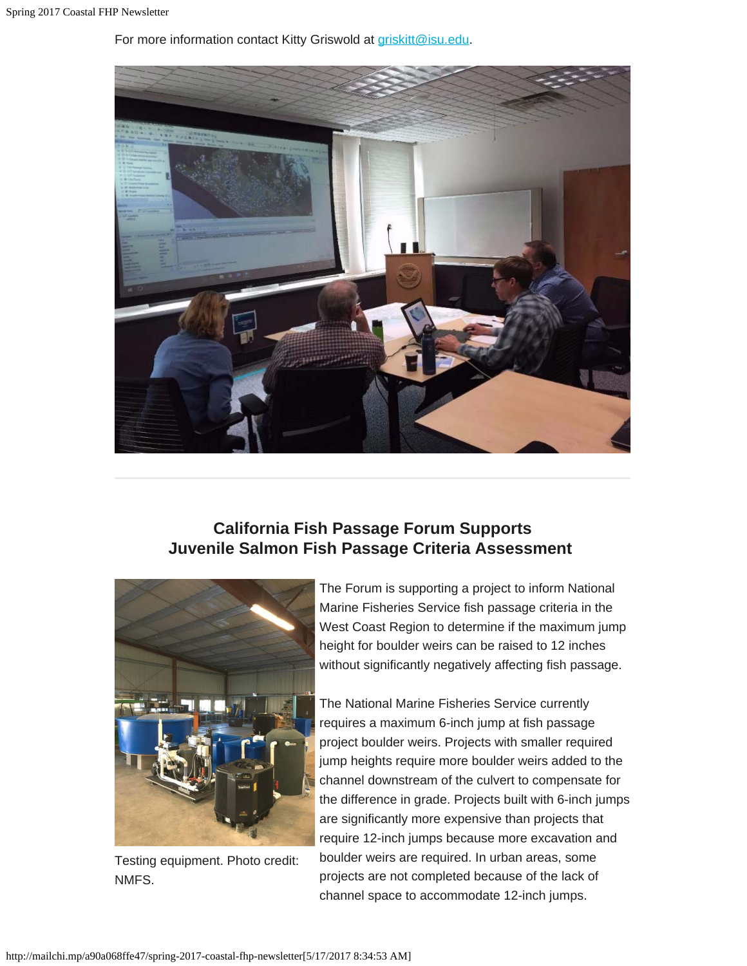For more information contact Kitty Griswold at [griskitt@isu.edu](mailto:griskitt@isu.edu).



#### **California Fish Passage Forum Supports Juvenile Salmon Fish Passage Criteria Assessment**



Testing equipment. Photo credit: NMFS.

The Forum is supporting a project to inform National Marine Fisheries Service fish passage criteria in the West Coast Region to determine if the maximum jump height for boulder weirs can be raised to 12 inches without significantly negatively affecting fish passage.

The National Marine Fisheries Service currently requires a maximum 6-inch jump at fish passage project boulder weirs. Projects with smaller required jump heights require more boulder weirs added to the channel downstream of the culvert to compensate for the difference in grade. Projects built with 6-inch jumps are significantly more expensive than projects that require 12-inch jumps because more excavation and boulder weirs are required. In urban areas, some projects are not completed because of the lack of channel space to accommodate 12-inch jumps.